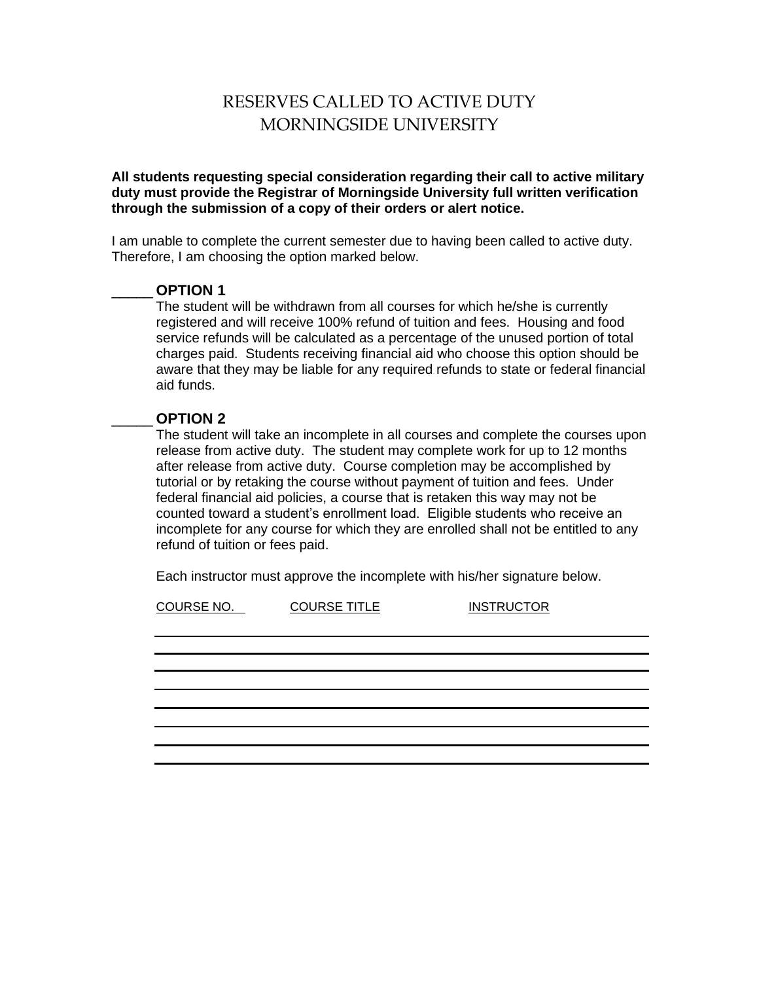# RESERVES CALLED TO ACTIVE DUTY MORNINGSIDE UNIVERSITY

**All students requesting special consideration regarding their call to active military duty must provide the Registrar of Morningside University full written verification through the submission of a copy of their orders or alert notice.**

I am unable to complete the current semester due to having been called to active duty. Therefore, I am choosing the option marked below.

#### \_\_\_\_\_ **OPTION 1**

The student will be withdrawn from all courses for which he/she is currently registered and will receive 100% refund of tuition and fees. Housing and food service refunds will be calculated as a percentage of the unused portion of total charges paid. Students receiving financial aid who choose this option should be aware that they may be liable for any required refunds to state or federal financial aid funds.

### \_\_\_\_\_ **OPTION 2**

The student will take an incomplete in all courses and complete the courses upon release from active duty. The student may complete work for up to 12 months after release from active duty. Course completion may be accomplished by tutorial or by retaking the course without payment of tuition and fees. Under federal financial aid policies, a course that is retaken this way may not be counted toward a student's enrollment load. Eligible students who receive an incomplete for any course for which they are enrolled shall not be entitled to any refund of tuition or fees paid.

Each instructor must approve the incomplete with his/her signature below.

COURSE NO. COURSE TITLE INSTRUCTOR